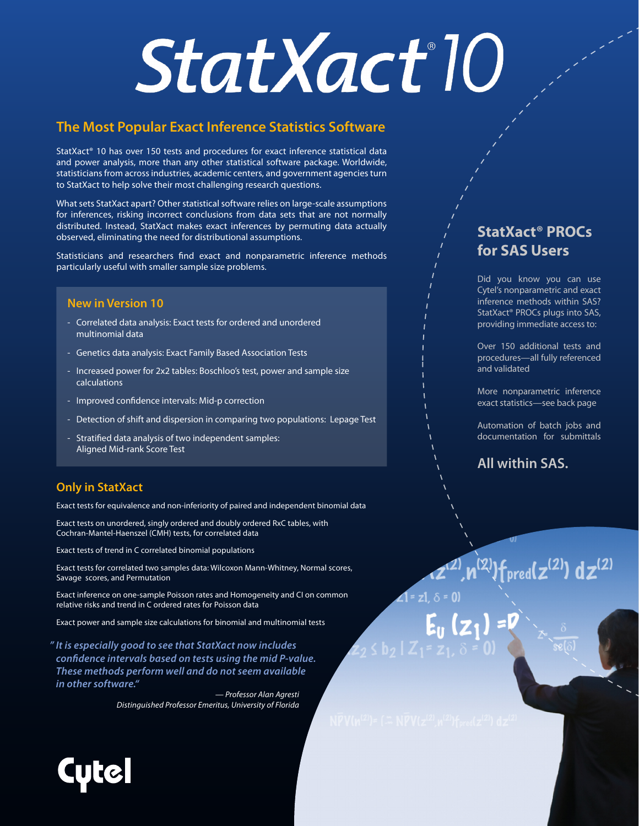# StatXact<sup>®</sup>10

#### **The Most Popular Exact Inference Statistics Software**

StatXact® 10 has over 150 tests and procedures for exact inference statistical data and power analysis, more than any other statistical software package. Worldwide, statisticians from across industries, academic centers, and government agencies turn to StatXact to help solve their most challenging research questions.

What sets StatXact apart? Other statistical software relies on large-scale assumptions for inferences, risking incorrect conclusions from data sets that are not normally distributed. Instead, StatXact makes exact inferences by permuting data actually observed, eliminating the need for distributional assumptions.

Statisticians and researchers find exact and nonparametric inference methods particularly useful with smaller sample size problems.

#### **New in Version 10**

- Correlated data analysis: Exact tests for ordered and unordered multinomial data
- Genetics data analysis: Exact Family Based Association Tests
- Increased power for 2x2 tables: Boschloo's test, power and sample size calculations
- Improved confidence intervals: Mid-p correction
- Detection of shift and dispersion in comparing two populations: Lepage Test
- Stratified data analysis of two independent samples: Aligned Mid-rank Score Test

#### **Only in StatXact**

Exact tests for equivalence and non-inferiority of paired and independent binomial data

Exact tests on unordered, singly ordered and doubly ordered RxC tables, with Cochran-Mantel-Haenszel (CMH) tests, for correlated data

Exact tests of trend in C correlated binomial populations

Exact tests for correlated two samples data: Wilcoxon Mann-Whitney, Normal scores, Savage scores, and Permutation

Exact inference on one-sample Poisson rates and Homogeneity and CI on common relative risks and trend in C ordered rates for Poisson data

Exact power and sample size calculations for binomial and multinomial tests

*" It is especially good to see that StatXact now includes confidence intervals based on tests using the mid P-value. These methods perform well and do not seem available in other software."*

*— Professor Alan Agresti Distinguished Professor Emeritus, University of Florida*

#### **StatXact® PROCs for SAS Users**

Did you know you can use Cytel's nonparametric and exact inference methods within SAS? StatXact® PROCs plugs into SAS, providing immediate access to:

Over 150 additional tests and procedures—all fully referenced and validated

More nonparametric inference exact statistics—see back page

Automation of batch jobs and documentation for submittals

**All within SAS.**

 $^{(2)}$ }fpred( $z^{(2)}$ ) d $z^{(2)}$ 

 $\Delta$  = z1.  $\delta$  = 0)